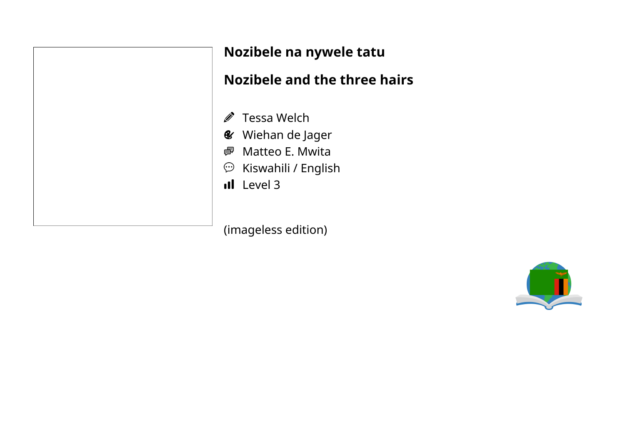| ١<br>Ш         |  |
|----------------|--|
| Ŀ              |  |
| $\vec{e}$      |  |
| ę              |  |
| ç              |  |
| $\blacksquare$ |  |

#### **Nozibele na nywele tatu**

## **Nozibele and the three hairs**

- Tessa Welch
- *<u></u>* Wiehan de Jager
- Matteo E. Mwita
- $\widehat{\mathbb{P}}$  Kiswahili / English
- $\mathbf{L}$  Level 3

(imageless edition)

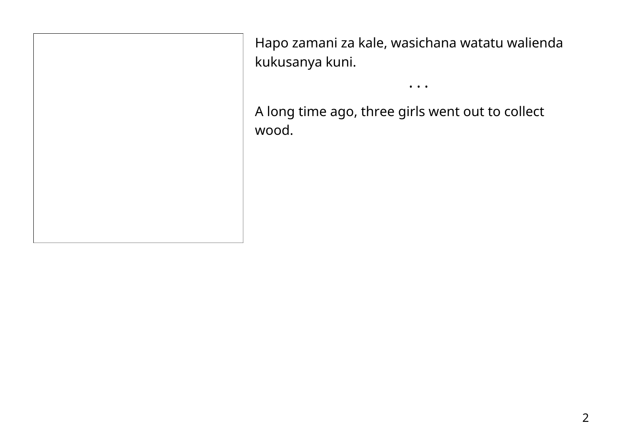Hapo zamani za kale, wasichana watatu walienda kukusanya kuni.

• • •

A long time ago, three girls went out to collect wood.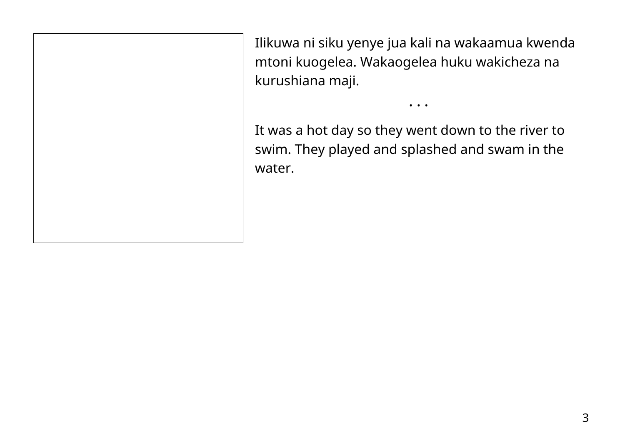Ilikuwa ni siku yenye jua kali na wakaamua kwenda mtoni kuogelea. Wakaogelea huku wakicheza na kurushiana maji.

• • •

It was a hot day so they went down to the river to swim. They played and splashed and swam in the water.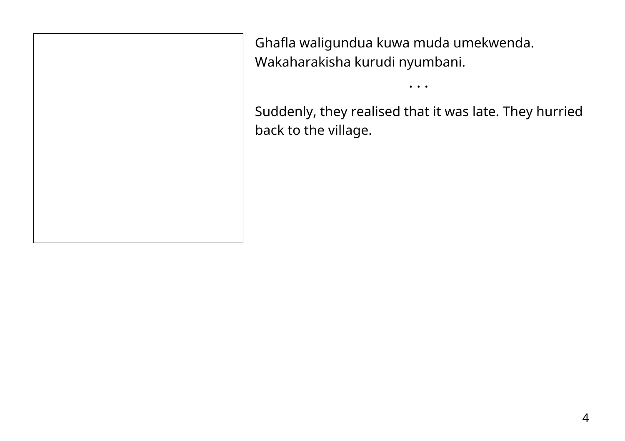Ghafla waligundua kuwa muda umekwenda. Wakaharakisha kurudi nyumbani.

Suddenly, they realised that it was late. They hurried back to the village.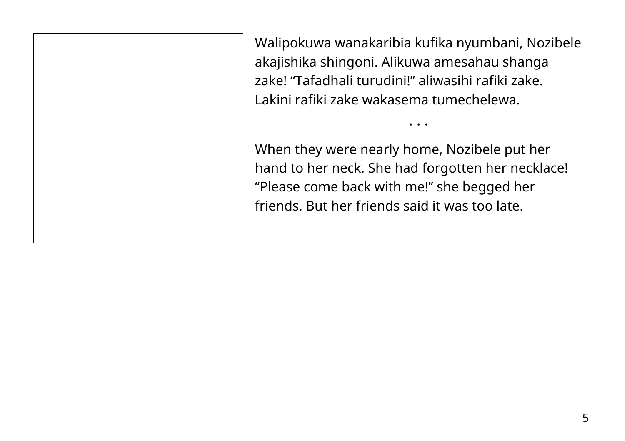Walipokuwa wanakaribia kufika nyumbani, Nozibele akajishika shingoni. Alikuwa amesahau shanga zake! "Tafadhali turudini!" aliwasihi rafiki zake. Lakini rafiki zake wakasema tumechelewa.

• • •

When they were nearly home, Nozibele put her hand to her neck. She had forgotten her necklace! "Please come back with me!" she begged her friends. But her friends said it was too late.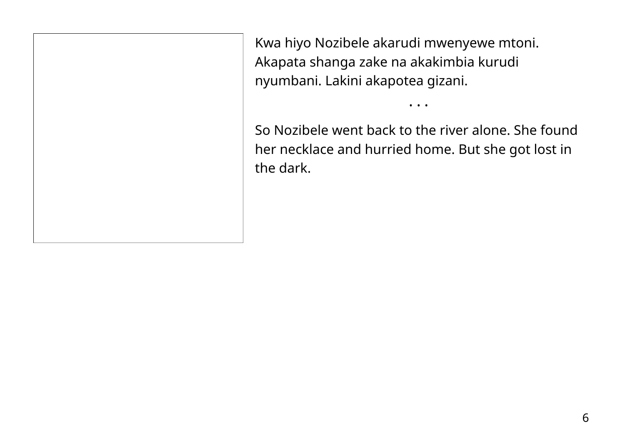Kwa hiyo Nozibele akarudi mwenyewe mtoni. Akapata shanga zake na akakimbia kurudi nyumbani. Lakini akapotea gizani.

So Nozibele went back to the river alone. She found her necklace and hurried home. But she got lost in the dark.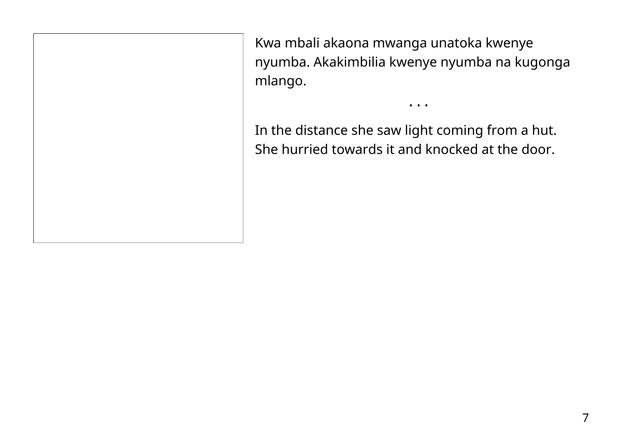Kwa mbali akaona mwanga unatoka kwenye nyumba. Akakimbilia kwenye nyumba na kugonga mlango.

• • •

In the distance she saw light coming from a hut. She hurried towards it and knocked at the door.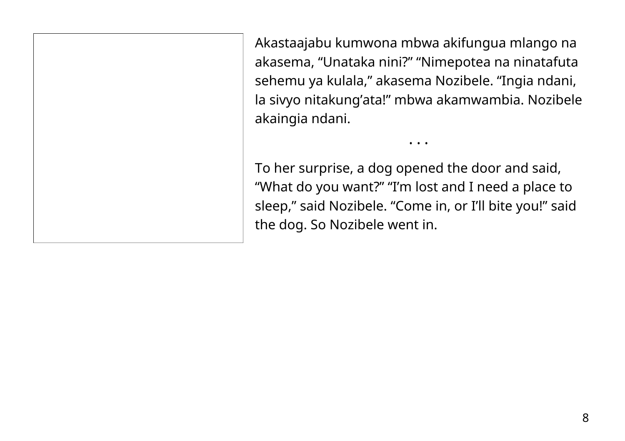Akastaajabu kumwona mbwa akifungua mlango na akasema, "Unataka nini?" "Nimepotea na ninatafuta sehemu ya kulala," akasema Nozibele. "Ingia ndani, la sivyo nitakung'ata!" mbwa akamwambia. Nozibele akaingia ndani.

To her surprise, a dog opened the door and said, "What do you want?" "I'm lost and I need a place to sleep," said Nozibele. "Come in, or I'll bite you!" said the dog. So Nozibele went in.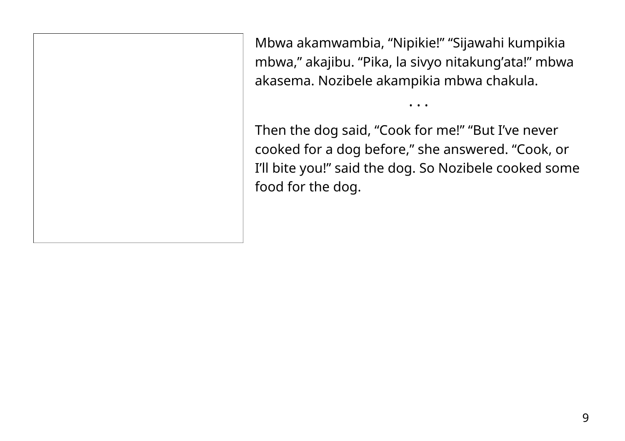Mbwa akamwambia, "Nipikie!" "Sijawahi kumpikia mbwa," akajibu. "Pika, la sivyo nitakung'ata!" mbwa akasema. Nozibele akampikia mbwa chakula.

Then the dog said, "Cook for me!" "But I've never cooked for a dog before," she answered. "Cook, or I'll bite you!" said the dog. So Nozibele cooked some food for the dog.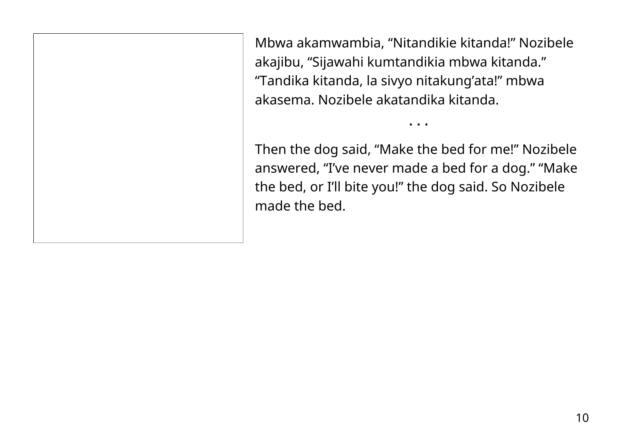Mbwa akamwambia, "Nitandikie kitanda!" Nozibele akajibu, "Sijawahi kumtandikia mbwa kitanda." "Tandika kitanda, la sivyo nitakung'ata!" mbwa akasema. Nozibele akatandika kitanda.

Then the dog said, "Make the bed for me!" Nozibele answered, "I've never made a bed for a dog." "Make the bed, or I'll bite you!" the dog said. So Nozibele made the bed.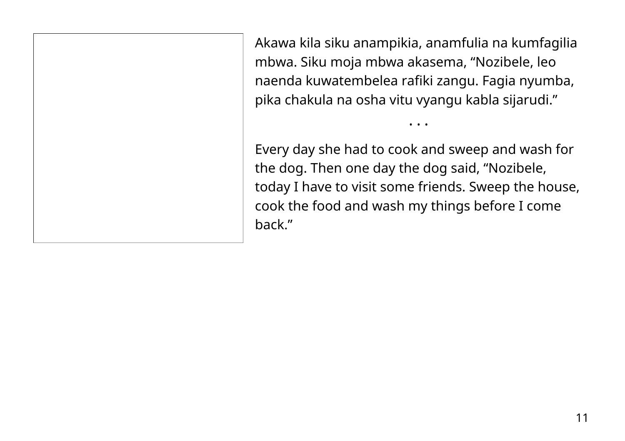Akawa kila siku anampikia, anamfulia na kumfagilia mbwa. Siku moja mbwa akasema, "Nozibele, leo naenda kuwatembelea rafiki zangu. Fagia nyumba, pika chakula na osha vitu vyangu kabla sijarudi."

• • •

Every day she had to cook and sweep and wash for the dog. Then one day the dog said, "Nozibele, today I have to visit some friends. Sweep the house, cook the food and wash my things before I come back."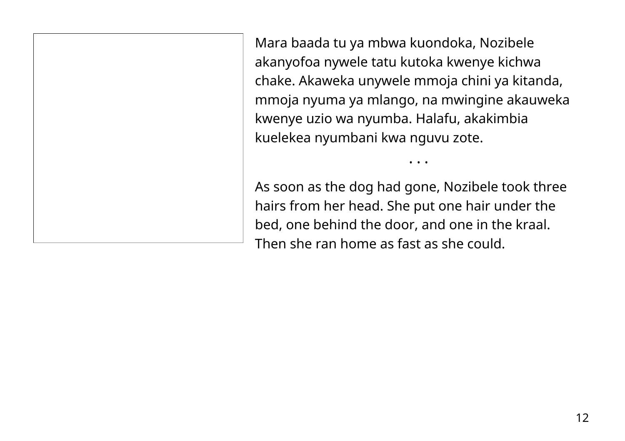Mara baada tu ya mbwa kuondoka, Nozibele akanyofoa nywele tatu kutoka kwenye kichwa chake. Akaweka unywele mmoja chini ya kitanda, mmoja nyuma ya mlango, na mwingine akauweka kwenye uzio wa nyumba. Halafu, akakimbia kuelekea nyumbani kwa nguvu zote.

As soon as the dog had gone, Nozibele took three hairs from her head. She put one hair under the bed, one behind the door, and one in the kraal. Then she ran home as fast as she could.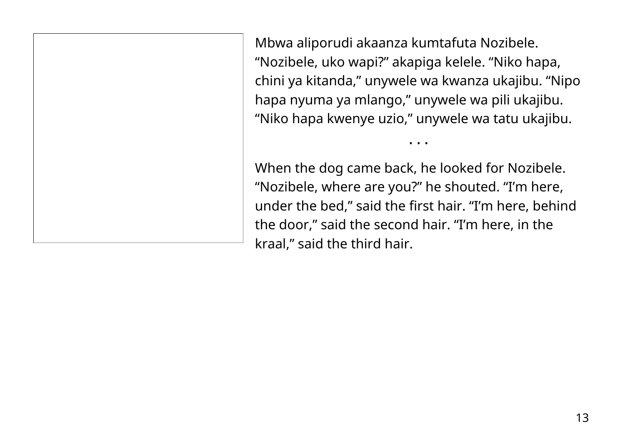Mbwa aliporudi akaanza kumtafuta Nozibele. "Nozibele, uko wapi?" akapiga kelele. "Niko hapa, chini ya kitanda," unywele wa kwanza ukajibu. "Nipo hapa nyuma ya mlango," unywele wa pili ukajibu. "Niko hapa kwenye uzio," unywele wa tatu ukajibu.

• • •

When the dog came back, he looked for Nozibele. "Nozibele, where are you?" he shouted. "I'm here, under the bed," said the first hair. "I'm here, behind the door," said the second hair. "I'm here, in the kraal," said the third hair.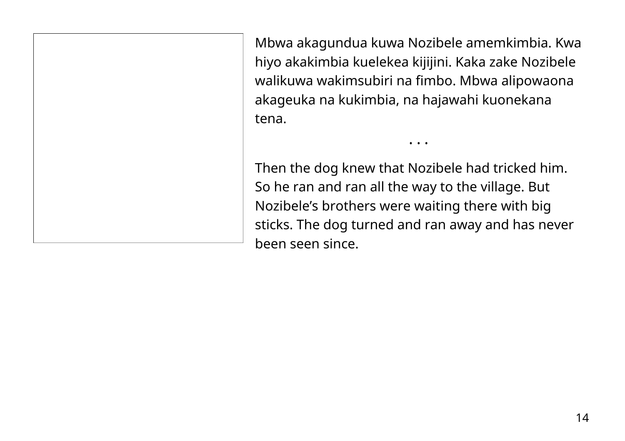Mbwa akagundua kuwa Nozibele amemkimbia. Kwa hiyo akakimbia kuelekea kijijini. Kaka zake Nozibele walikuwa wakimsubiri na fimbo. Mbwa alipowaona akageuka na kukimbia, na hajawahi kuonekana tena.

• • •

Then the dog knew that Nozibele had tricked him. So he ran and ran all the way to the village. But Nozibele's brothers were waiting there with big sticks. The dog turned and ran away and has never been seen since.